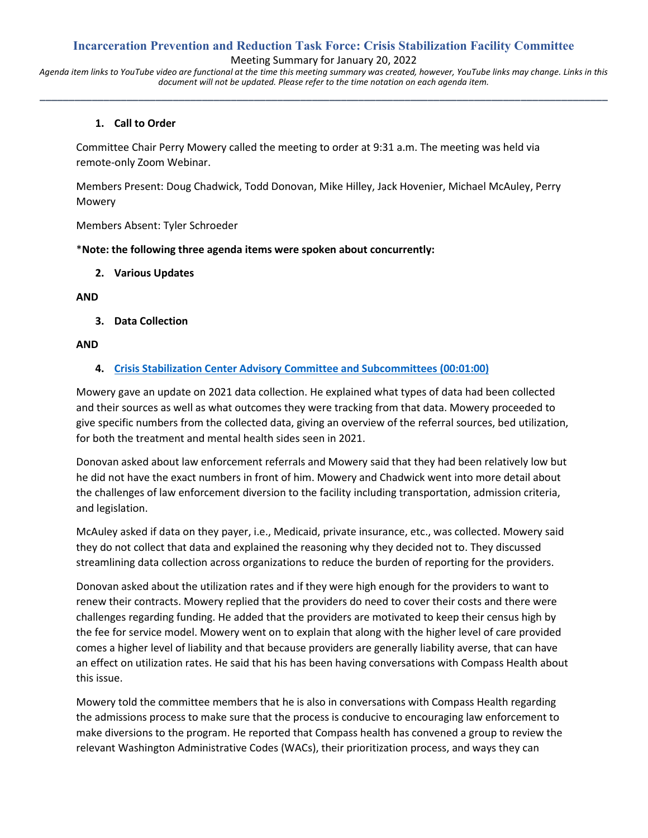# **Incarceration Prevention and Reduction Task Force: Crisis Stabilization Facility Committee**

Meeting Summary for January 20, 2022

*Agenda item links to YouTube video are functional at the time this meeting summary was created, however, YouTube links may change. Links in this document will not be updated. Please refer to the time notation on each agenda item.* **\_\_\_\_\_\_\_\_\_\_\_\_\_\_\_\_\_\_\_\_\_\_\_\_\_\_\_\_\_\_\_\_\_\_\_\_\_\_\_\_\_\_\_\_\_\_\_\_\_\_\_\_\_\_\_\_\_\_\_\_\_\_\_\_\_\_\_\_\_\_\_\_\_\_\_\_\_\_\_\_\_\_\_\_\_\_\_\_\_\_\_\_\_\_\_\_\_\_**

## **1. Call to Order**

Committee Chair Perry Mowery called the meeting to order at 9:31 a.m. The meeting was held via remote-only Zoom Webinar.

Members Present: Doug Chadwick, Todd Donovan, Mike Hilley, Jack Hovenier, Michael McAuley, Perry Mowery

Members Absent: Tyler Schroeder

\***Note: the following three agenda items were spoken about concurrently:**

**2. Various Updates**

**AND**

**3. Data Collection**

### **AND**

## **4. [Crisis Stabilization Center Advisory Committee and Subcommittees \(00:01:00\)](https://youtu.be/maYqvNEa9rA?t=60)**

Mowery gave an update on 2021 data collection. He explained what types of data had been collected and their sources as well as what outcomes they were tracking from that data. Mowery proceeded to give specific numbers from the collected data, giving an overview of the referral sources, bed utilization, for both the treatment and mental health sides seen in 2021.

Donovan asked about law enforcement referrals and Mowery said that they had been relatively low but he did not have the exact numbers in front of him. Mowery and Chadwick went into more detail about the challenges of law enforcement diversion to the facility including transportation, admission criteria, and legislation.

McAuley asked if data on they payer, i.e., Medicaid, private insurance, etc., was collected. Mowery said they do not collect that data and explained the reasoning why they decided not to. They discussed streamlining data collection across organizations to reduce the burden of reporting for the providers.

Donovan asked about the utilization rates and if they were high enough for the providers to want to renew their contracts. Mowery replied that the providers do need to cover their costs and there were challenges regarding funding. He added that the providers are motivated to keep their census high by the fee for service model. Mowery went on to explain that along with the higher level of care provided comes a higher level of liability and that because providers are generally liability averse, that can have an effect on utilization rates. He said that his has been having conversations with Compass Health about this issue.

Mowery told the committee members that he is also in conversations with Compass Health regarding the admissions process to make sure that the process is conducive to encouraging law enforcement to make diversions to the program. He reported that Compass health has convened a group to review the relevant Washington Administrative Codes (WACs), their prioritization process, and ways they can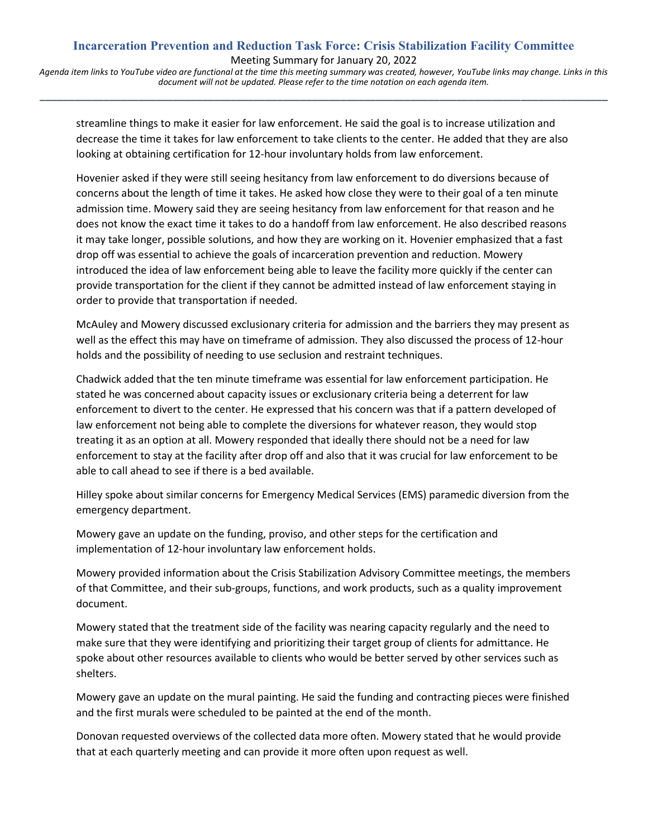# **Incarceration Prevention and Reduction Task Force: Crisis Stabilization Facility Committee** Meeting Summary for January 20, 2022

*Agenda item links to YouTube video are functional at the time this meeting summary was created, however, YouTube links may change. Links in this document will not be updated. Please refer to the time notation on each agenda item.* **\_\_\_\_\_\_\_\_\_\_\_\_\_\_\_\_\_\_\_\_\_\_\_\_\_\_\_\_\_\_\_\_\_\_\_\_\_\_\_\_\_\_\_\_\_\_\_\_\_\_\_\_\_\_\_\_\_\_\_\_\_\_\_\_\_\_\_\_\_\_\_\_\_\_\_\_\_\_\_\_\_\_\_\_\_\_\_\_\_\_\_\_\_\_\_\_\_\_**

streamline things to make it easier for law enforcement. He said the goal is to increase utilization and decrease the time it takes for law enforcement to take clients to the center. He added that they are also looking at obtaining certification for 12-hour involuntary holds from law enforcement.

Hovenier asked if they were still seeing hesitancy from law enforcement to do diversions because of concerns about the length of time it takes. He asked how close they were to their goal of a ten minute admission time. Mowery said they are seeing hesitancy from law enforcement for that reason and he does not know the exact time it takes to do a handoff from law enforcement. He also described reasons it may take longer, possible solutions, and how they are working on it. Hovenier emphasized that a fast drop off was essential to achieve the goals of incarceration prevention and reduction. Mowery introduced the idea of law enforcement being able to leave the facility more quickly if the center can provide transportation for the client if they cannot be admitted instead of law enforcement staying in order to provide that transportation if needed.

McAuley and Mowery discussed exclusionary criteria for admission and the barriers they may present as well as the effect this may have on timeframe of admission. They also discussed the process of 12-hour holds and the possibility of needing to use seclusion and restraint techniques.

Chadwick added that the ten minute timeframe was essential for law enforcement participation. He stated he was concerned about capacity issues or exclusionary criteria being a deterrent for law enforcement to divert to the center. He expressed that his concern was that if a pattern developed of law enforcement not being able to complete the diversions for whatever reason, they would stop treating it as an option at all. Mowery responded that ideally there should not be a need for law enforcement to stay at the facility after drop off and also that it was crucial for law enforcement to be able to call ahead to see if there is a bed available.

Hilley spoke about similar concerns for Emergency Medical Services (EMS) paramedic diversion from the emergency department.

Mowery gave an update on the funding, proviso, and other steps for the certification and implementation of 12-hour involuntary law enforcement holds.

Mowery provided information about the Crisis Stabilization Advisory Committee meetings, the members of that Committee, and their sub-groups, functions, and work products, such as a quality improvement document.

Mowery stated that the treatment side of the facility was nearing capacity regularly and the need to make sure that they were identifying and prioritizing their target group of clients for admittance. He spoke about other resources available to clients who would be better served by other services such as shelters.

Mowery gave an update on the mural painting. He said the funding and contracting pieces were finished and the first murals were scheduled to be painted at the end of the month.

Donovan requested overviews of the collected data more often. Mowery stated that he would provide that at each quarterly meeting and can provide it more often upon request as well.